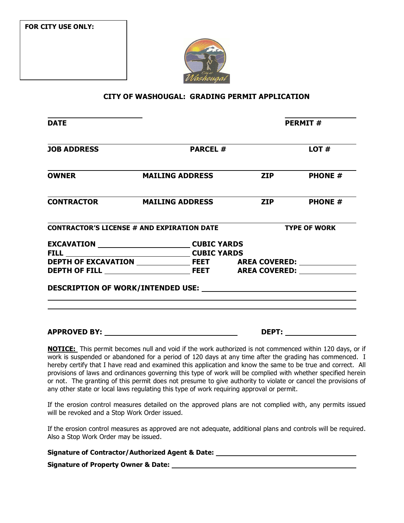**FOR CITY USE ONLY:**



#### **CITY OF WASHOUGAL: GRADING PERMIT APPLICATION**

| <b>DATE</b>        |                                                    |                             | <b>PERMIT#</b>      |  |
|--------------------|----------------------------------------------------|-----------------------------|---------------------|--|
| <b>JOB ADDRESS</b> | <b>PARCEL#</b>                                     |                             | LOT#                |  |
| <b>OWNER</b>       | <b>MAILING ADDRESS</b>                             | <b>Example 21P</b>          | <b>PHONE #</b>      |  |
|                    | <b>CONTRACTOR MAILING ADDRESS</b>                  | <b>ZIP</b>                  | <b>PHONE</b> #      |  |
|                    | <b>CONTRACTOR'S LICENSE # AND EXPIRATION DATE</b>  |                             | <b>TYPE OF WORK</b> |  |
|                    | EXCAVATION ____________________________CUBIC YARDS |                             |                     |  |
|                    |                                                    |                             |                     |  |
|                    |                                                    |                             |                     |  |
|                    |                                                    |                             |                     |  |
|                    |                                                    |                             |                     |  |
|                    |                                                    |                             |                     |  |
|                    |                                                    | <b>DEPT:</b> ______________ |                     |  |

**NOTICE:** This permit becomes null and void if the work authorized is not commenced within 120 days, or if work is suspended or abandoned for a period of 120 days at any time after the grading has commenced. I hereby certify that I have read and examined this application and know the same to be true and correct. All provisions of laws and ordinances governing this type of work will be complied with whether specified herein or not. The granting of this permit does not presume to give authority to violate or cancel the provisions of any other state or local laws regulating this type of work requiring approval or permit.

If the erosion control measures detailed on the approved plans are not complied with, any permits issued will be revoked and a Stop Work Order issued.

If the erosion control measures as approved are not adequate, additional plans and controls will be required. Also a Stop Work Order may be issued.

| <b>Signature of Contractor/Authorized Agent &amp; Date:</b> |  |
|-------------------------------------------------------------|--|
|                                                             |  |

**Signature of Property Owner & Date:**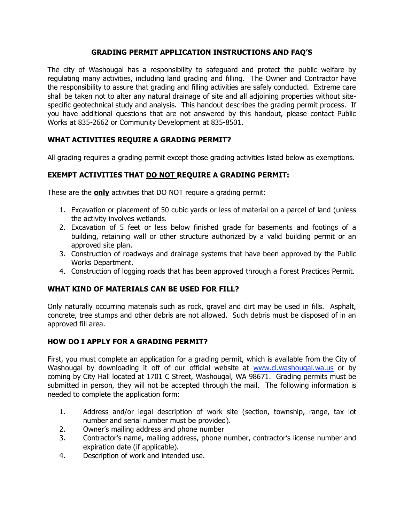### **GRADING PERMIT APPLICATION INSTRUCTIONS AND FAQ'S**

The city of Washougal has a responsibility to safeguard and protect the public welfare by regulating many activities, including land grading and filling. The Owner and Contractor have the responsibility to assure that grading and filling activities are safely conducted. Extreme care shall be taken not to alter any natural drainage of site and all adjoining properties without sitespecific geotechnical study and analysis. This handout describes the grading permit process. If you have additional questions that are not answered by this handout, please contact Public Works at 835-2662 or Community Development at 835-8501.

# **WHAT ACTIVITIES REQUIRE A GRADING PERMIT?**

All grading requires a grading permit except those grading activities listed below as exemptions.

## **EXEMPT ACTIVITIES THAT DO NOT REQUIRE A GRADING PERMIT:**

These are the **only** activities that DO NOT require a grading permit:

- 1. Excavation or placement of 50 cubic yards or less of material on a parcel of land (unless the activity involves wetlands.
- 2. Excavation of 5 feet or less below finished grade for basements and footings of a building, retaining wall or other structure authorized by a valid building permit or an approved site plan.
- 3. Construction of roadways and drainage systems that have been approved by the Public Works Department.
- 4. Construction of logging roads that has been approved through a Forest Practices Permit.

## **WHAT KIND OF MATERIALS CAN BE USED FOR FILL?**

Only naturally occurring materials such as rock, gravel and dirt may be used in fills. Asphalt, concrete, tree stumps and other debris are not allowed. Such debris must be disposed of in an approved fill area.

## **HOW DO I APPLY FOR A GRADING PERMIT?**

First, you must complete an application for a grading permit, which is available from the City of Washougal by downloading it off of our official website at www.ci.washougal.wa.us or by coming by City Hall located at 1701 C Street, Washougal, WA 98671. Grading permits must be submitted in person, they will not be accepted through the mail. The following information is needed to complete the application form:

- 1. Address and/or legal description of work site (section, township, range, tax lot number and serial number must be provided).
- 2. Owner's mailing address and phone number
- 3. Contractor's name, mailing address, phone number, contractor's license number and expiration date (if applicable).
- 4. Description of work and intended use.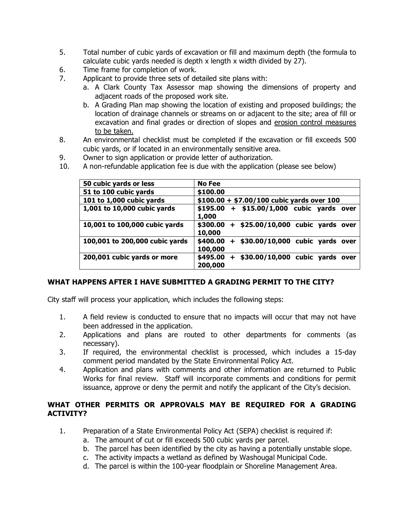- 5. Total number of cubic yards of excavation or fill and maximum depth (the formula to calculate cubic yards needed is depth x length x width divided by 27).
- 6. Time frame for completion of work.
- 7. Applicant to provide three sets of detailed site plans with:
	- a. A Clark County Tax Assessor map showing the dimensions of property and adjacent roads of the proposed work site.
	- b. A Grading Plan map showing the location of existing and proposed buildings; the location of drainage channels or streams on or adjacent to the site; area of fill or excavation and final grades or direction of slopes and erosion control measures to be taken.
- 8. An environmental checklist must be completed if the excavation or fill exceeds 500 cubic yards, or if located in an environmentally sensitive area.
- 9. Owner to sign application or provide letter of authorization.
- 10. A non-refundable application fee is due with the application (please see below)

| 50 cubic yards or less         | No Fee                                                           |  |  |
|--------------------------------|------------------------------------------------------------------|--|--|
| 51 to 100 cubic yards          | \$100.00                                                         |  |  |
| 101 to 1,000 cubic yards       | $$100.00 + $7.00/100$ cubic yards over 100                       |  |  |
| 1,001 to 10,000 cubic yards    | \$195.00<br>+ \$15.00/1,000 cubic yards over<br>1,000            |  |  |
| 10,001 to 100,000 cubic yards  | \$300.00<br>+ \$25.00/10,000 cubic yards over<br>10,000          |  |  |
| 100,001 to 200,000 cubic yards | \$400.00<br>+ \$30.00/10,000 cubic yards over<br>100,000         |  |  |
| 200,001 cubic yards or more    | \$495.00<br>\$30.00/10,000 cubic yards<br>$+$<br>over<br>200,000 |  |  |

#### **WHAT HAPPENS AFTER I HAVE SUBMITTED A GRADING PERMIT TO THE CITY?**

City staff will process your application, which includes the following steps:

- 1. A field review is conducted to ensure that no impacts will occur that may not have been addressed in the application.
- 2. Applications and plans are routed to other departments for comments (as necessary).
- 3. If required, the environmental checklist is processed, which includes a 15-day comment period mandated by the State Environmental Policy Act.
- 4. Application and plans with comments and other information are returned to Public Works for final review. Staff will incorporate comments and conditions for permit issuance, approve or deny the permit and notify the applicant of the City's decision.

### **WHAT OTHER PERMITS OR APPROVALS MAY BE REQUIRED FOR A GRADING ACTIVITY?**

- 1. Preparation of a State Environmental Policy Act (SEPA) checklist is required if:
	- a. The amount of cut or fill exceeds 500 cubic yards per parcel.
	- b. The parcel has been identified by the city as having a potentially unstable slope.
	- c. The activity impacts a wetland as defined by Washougal Municipal Code.
	- d. The parcel is within the 100-year floodplain or Shoreline Management Area.